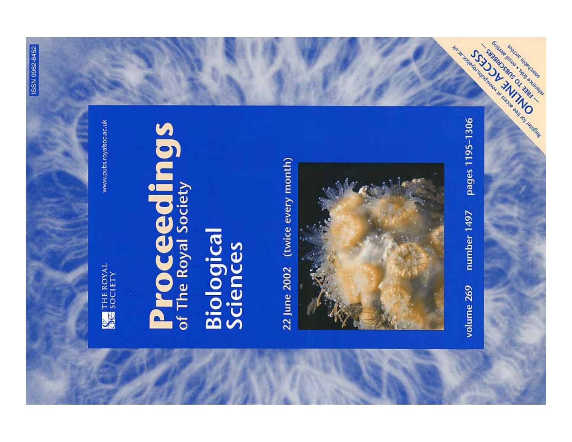**WE SOCIETY** 

www.pubs.royalsoc.ac.uk

# **Proceedings**

## **Biological**<br>Sciences

22 June 2002 (twice every month)



pages 1195-1306 number 1497 volume 269

Manufacturing Manufacturing Strategy of the Contraction of the Contraction of the Contraction of the Contraction of the Contraction of the Contraction of the Contraction of the Contraction of the Contraction of the Contrac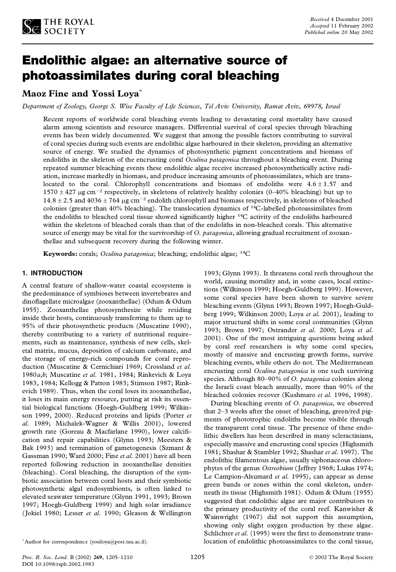

## Endolithic algae: an alternative source of photoassimilates during coral bleaching

### **Maoz Fine and Yossi Loya** \*

Department of Zoology, George S. Wise Faculty of Life Sciences, Tel Aviv University, Ramat Aviv, 69978, Israel

Recent reports of worldwide coral bleaching events leading to devastating coral mortality have caused alarm among scientists and resource managers. Differential survival of coral species through bleaching events has been widely documented. We suggest that among the possible factors contributing to survival of coral species during such events are endolithic algae harboured in their skeleton, providing an alternative source of energy. We studied the dynamics of photosynthetic pigment concentrations and biomass of endoliths in the skeleton of the encrusting coral *Oculina patagonica* throughout a bleaching event. During repeated summer bleaching events these endolithic algae receive increased photosynthetically active radi ation, increase markedly in biomass, and produce increasing amounts of photoassimilates, which are translocated to the coral. Chlorophyll concentrations and biomass of endoliths were  $4.6 \pm 1.57$  and  $1570 \pm 427$  µg cm<sup>-2</sup> respectively, in skeletons of relatively healthy colonies (0–40% bleaching) but up to  $14.8 \pm 2.5$  and  $4036 \pm 764$  µg cm<sup>-2</sup> endolith chlorophyll and biomass respectively, in skeletons of bleached colonies (greater than 40% bleaching). The translocation dynamics of <sup>14</sup>C-labelled photoassimilates from the endoliths to bleached coral tissue showed significantly higher <sup>14</sup>C activity of the endoliths harboured within the skeletons of bleached corals than that of the endoliths in non-bleached corals. This alternative source of energy may be vital for the survivorship of *O. patagonica*, allowing gradual recruitment of zooxanthellae and subsequent recovery during the following winter.

**Keywords:** corals; *Oculina patagonica*; bleaching; endolithic algae; <sup>14</sup>C

### **1. INTRODUCTION**

A central feature of shallow-water coastal ecosystems is the predominance of symbioses between invertebrates and dino flagellate microalgae (zooxanthellae) (Odum & Odum 1955). Zooxanthellae photosynthesize while residing inside their hosts, continuously transferring to them up to 95% of their photosynthetic products (Muscatine 1990), thereby contributing to a variety of nutritional require ments, such as maintenance, synthesis of new cells, skel etal matrix, mucus, deposition of calcium carbonate, and the storage of energy-rich compounds for coral repro duction (Muscatine & Cernichiari 1969; Crossland *et al*. 1980*a*,*b*; Muscatine *et al.* 1981, 1984; Rinkevich & Loya 1983, 1984; Kellogg & Patton 1983; Stimson 1987; Rink evich 1989). Thus, when the coral loses its zooxanthellae, it loses its main energy resource, putting at risk its essential biological functions (Hoegh-Guldberg 1999; Wilkin son 1999, 2000). Reduced proteins and lipids (Porter *et al.* 1989; Michalek-Wagner & Willis 2001), lowered growth rate (Goreau & Macfarlane 1990), lower calcification and repair capabilities (Glynn 1993; Meesters & Bak 1993) and termination of gametogenesis (Szmant & Gassman 1990; Ward 2000; Fine *et al.* 2001) have all been reported following reduction in zooxanthellae densities (bleaching). Coral bleaching, the disruption of the sym biotic association between coral hosts and their symbiotic photosynthetic algal endosymbionts, is often linked to elevated seawater temperature (Glynn 1991, 1993; Brown 1997; Hoegh-Guldberg 1999) and high solar irradiance (Jokiel 1980; Lesser *et al.* 1990; Gleason & Wellington

1993; Glynn 1993). It threatens coral reefs throughout the world, causing mortality and, in some cases, local extinctions (Wilkinson 1999; Hoegh-Guldberg 1999). However, some coral species have been shown to survive severe bleaching events (Glynn 1993; Brown 1997; Hoegh-Guld berg 1999; Wilkinson 2000; Loya *et al.* 2001), leading to major structural shifts in some coral communities (Glynn 1993; Brown 1997; Ostrander *et al.* 2000; Loya *et al.* 2001). One of the most intriguing questions being asked by coral reef researchers is why some coral species, mostly of massive and encrusting growth forms, survive bleaching events, while others do not. The Mediterranean encrusting coral *Oculina patagonica* is one such surviving species. Although 80–90% of *O. patagonica* colonies along the Israeli coast bleach annually, more than 90% of the bleached colonies recover (Kushmaro *et al.* 1996, 1998).

During bleaching events of *O. patagonica*, we observed that 2–3 weeks after the onset of bleaching, green/red pig ments of phototrophic endoliths become visible through the transparent coral tissue. The presence of these endolithic dwellers has been described in many scleractinians, especially massive and encrusting coral species (Highsmith 1981; Shashar & Stambler 1992; Shashar *et al.* 1997). The endolithic filamentous algae, usually siphonaceous chlorophytes of the genus *Ostreobium* (Jeffrey 1968; Lukas 1974; Le Campion-Alsumard *et al.* 1995), can appear as dense green bands or zones within the coral skeleton, under neath its tissue (Highsmith 1981). Odum & Odum (1955) suggested that endolithic algae are major contributors to the primary productivity of the coral reef. Kanwisher & Wainwright (1967) did not support this assumption, showing only slight oxygen production by these algae. Schlichter et al. (1995) were the first to demonstrate translocation of endolithic photoassimilates to the coral tissue,

<sup>\*</sup>Author for correspondence (yosiloya@post.tau.ac.il).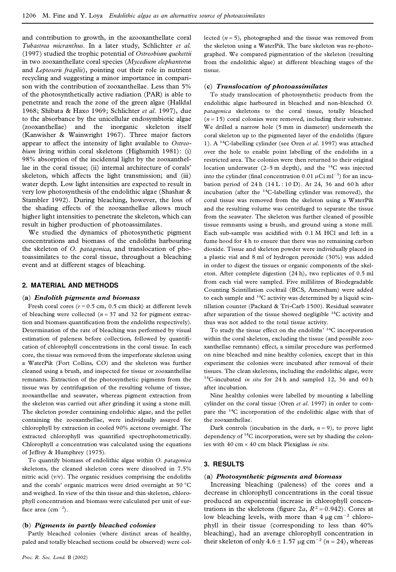and contribution to growth, in the azooxanthellate coral *Tubastrea micranthus*. In a later study, Schlichter *et al.* (1997) studied the trophic potential of *Ostreobium quekettii* in two zooxanthellate coral species (*Mycedium elephantotus* and *Leptoseris fragilis*), pointing out their role in nutrient recycling and suggesting a minor importance in compari son with the contribution of zooxanthellae. Less than 5% of the photosynthetically active radiation (PAR) is able to penetrate and reach the zone of the green algae (Halldal 1968; Shibata & Haxo 1969; Schlichter *et al*. 1997), due to the absorbance by the unicellular endosymbiotic algae (zooxanthellae) and the inorganic skeleton itself (Kanwisher & Wainwright 1967). Three major factors appear to affect the intensity of light available to *Ostreobium* living within coral skeletons (Highsmith 1981): (i) 98% absorption of the incidental light by the zooxanthellae in the coral tissue; (ii) internal architecture of corals' skeleton, which affects the light transmission; and (iii) water depth. Low light intensities are expected to result in very low photosynthesis of the endolithic algae (Shashar & Stambler 1992). During bleaching, however, the loss of the shading effects of the zooxanthellae allows much higher light intensities to penetrate the skeleton, which can result in higher production of photoassimilates.

We studied the dynamics of photosynthetic pigment concentrations and biomass of the endoliths harbouring the skeleton of *O. patagonica*, and translocation of photoassimilates to the coral tissue, throughout a bleaching event and at different stages of bleaching.

### **2. MATERIAL AND METHODS**

### (**a**) *Endolith pigments and biomass*

Fresh coral cores ( $r = 0.5$  cm, 0.5 cm thick) at different levels of bleaching were collected  $(n = 37 \text{ and } 32 \text{ for pigment extrac-}$ tion and biomass quantification from the endoliths respectively). Determination of the rate of bleaching was performed by visual estimation of paleness before collection, followed by quantification of chlorophyll concentrations in the coral tissue. In each core, the tissue was removed from the imperforate skeleton using a WaterPik (Fort Collins, CO) and the skeleton was further cleaned using a brush, and inspected for tissue or zooxanthellae remnants. Extraction of the photosynthetic pigments from the tissue was by centrifugation of the resulting volume of tissue, zooxanthellae and seawater, whereas pigment extraction from the skeleton was carried out after grinding it using a stone mill. The skeleton powder containing endolithic algae, and the pellet containing the zooxanthellae, were individually assayed for chlorophyll by extraction in cooled 90% acetone overnight. The extracted chlorophyll was quantified spectrophotometrically. Chlorophyll *a* concentration was calculated using the equations of Jeffrey & Humphrey (1975).

To quantify biomass of endolithic algae within *O. patagonica* skeletons, the cleaned skeleton cores were dissolved in 7.5% nitric acid (v/v). The organic residues comprising the endoliths and the corals' organic matrices were dried overnight at 50 °C and weighed. In view of the thin tissue and thin skeleton, chloro phyll concentration and biomass were calculated per unit of surface area  $(cm<sup>-2</sup>).$ 

### (**b**) *Pigments in partly bleached colonies*

Partly bleached colonies (where distinct areas of healthy, paled and totally bleached sections could be observed) were collected  $(n = 5)$ , photographed and the tissue was removed from the skeleton using a WaterPik. The bare skeleton was re-photo graphed. We compared pigmentation of the skeleton (resulting from the endolithic algae) at different bleaching stages of the tissue.

### (**c**) *Translocation of photoassimilates*

To study translocation of photosynthetic products from the endolithic algae harboured in bleached and non-bleached *O. patagonica* skeletons to the coral tissue, totally bleached  $(n = 15)$  coral colonies were removed, including their substrate. We drilled a narrow hole (5 mm in diameter) underneath the coral skeleton up to the pigmented layer of the endoliths (figure 1). A <sup>14</sup>C-labelling cylinder (see Oren *et al.* 1997) was attached over the hole to enable point labelling of the endoliths in a restricted area. The colonies were then returned to their original location underwater (2–5 m depth), and the <sup>14</sup>C was injected into the cylinder (final concentration 0.01  $\mu$ Ci ml<sup>-1</sup>) for an incubation period of  $24 h$  ( $14 L : 10 D$ ). At  $24$ ,  $36$  and  $60 h$  after incubation (after the <sup>14</sup>C-labelling cylinder was removed), the coral tissue was removed from the skeleton using a WaterPik and the resulting volume was centrifuged to separate the tissue from the seawater. The skeleton was further cleaned of possible tissue remnants using a brush, and ground using a stone mill. Each sub-sample was acidified with 0.1 M HCl and left in a fume hood for 4 h to ensure that there was no remaining carbon dioxide. Tissue and skeleton powder were individually placed in a plastic vial and 8 ml of hydrogen peroxide (30%) was added in order to digest the tissues or organic components of the skel eton. After complete digestion (24 h), two replicates of 0.5 ml from each vial were sampled. Five millilitres of Biodegradable Counting Scintillation cocktail (BCS, Amersham) were added to each sample and <sup>14</sup>C activity was determined by a liquid scintillation counter (Packard & Tri-Carb 1500). Residual seawater after separation of the tissue showed negligible <sup>14</sup>C activity and thus was not added to the total tissue activity.

To study the tissue effect on the endoliths' <sup>14</sup>C incorporation within the coral skeleton, excluding the tissue (and possible zoo xanthellae remnants) effect, a similar procedure was performed on nine bleached and nine healthy colonies, except that in this experiment the colonies were incubated after removal of their tissues. The clean skeletons, including the endolithic algae, were <sup>14</sup>C-incubated *in situ* for 24 h and sampled 12, 36 and 60 h after incubation*.*

Nine healthy colonies were labelled by mounting a labelling cylinder on the coral tissue (Oren *et al*. 1997) in order to com pare the <sup>14</sup>C incorporation of the endolithic algae with that of the zooxanthellae.

Dark controls (incubation in the dark,  $n = 9$ ), to prove light dependency of <sup>14</sup>C incorporation, were set by shading the colonies with 40 cm  $\times$  40 cm black Plexiglass *in situ*.

### **3. RESULTS**

### (**a**) *Photosynthetic pigments and biomass*

Increasing bleaching (paleness) of the cores and a decrease in chlorophyll concentrations in the coral tissue produced an exponential increase in chlorophyll concentrations in the skeletons (figure  $2a$ ,  $R^2 = 0.942$ ). Cores at low bleaching levels, with more than  $4 \mu g \text{ cm}^{-2}$  chlorophyll in their tissue (corresponding to less than 40% bleaching), had an average chlorophyll concentration in their skeleton of only  $4.6 \pm 1.57 \text{ µg cm}^{-2}$  ( $n = 24$ ), whereas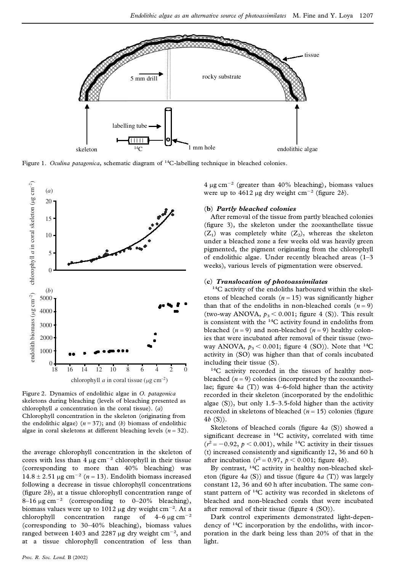

Figure 1. *Oculina patagonica*, schematic diagram of <sup>14</sup>C-labelling technique in bleached colonies.



Figure 2. Dynamics of endolithic algae in *O. patagonica* skeletons during bleaching (levels of bleaching presented as chlorophyll *a* concentration in the coral tissue). (*a*) Chlorophyll concentration in the skeleton (originating from the endolithic algae)  $(n = 37)$ ; and  $(b)$  biomass of endolithic algae in coral skeletons at different bleaching levels (*n* = 32).

the average chlorophyll concentration in the skeleton of cores with less than 4  $\mu$ g cm<sup>-2</sup> chlorophyll in their tissue (corresponding to more than 40% bleaching) was  $14.8 \pm 2.51$  µg cm<sup>-2</sup> (*n* = 13). Endolith biomass increased following a decrease in tissue chlorophyll concentrations (figure  $2b$ ), at a tissue chlorophyll concentration range of  $8-16 \mu g \text{ cm}^{-2}$  (corresponding to 0–20% bleaching), biomass values were up to 1012  $\mu$ g dry weight cm<sup>-2</sup>. At a chlorophyll concentration range of  $4-6 \mu g \text{ cm}^{-2}$ (corresponding to 30–40% bleaching), biomass values ranged between 1403 and 2287  $\mu$ g dry weight cm<sup>-2</sup>, and at a tissue chlorophyll concentration of less than

 $4 \mu$ g cm<sup>-2</sup> (greater than  $40\%$  bleaching), biomass values were up to  $4612 \mu$ g dry weight cm<sup>-2</sup> (figure 2*b*).

### (**b**) *Partly bleached colonies*

After removal of the tissue from partly bleached colonies (figure 3), the skeleton under the zooxanthellate tissue  $(Z_1)$  was completely white  $(Z_2)$ , whereas the skeleton under a bleached zone a few weeks old was heavily green pigmented, the pigment originating from the chlorophyll of endolithic algae. Under recently bleached areas (1–3 weeks), various levels of pigmentation were observed.

### (**c**) *Translocation of photoassimilates*

<sup>14</sup>C activity of the endoliths harboured within the skel etons of bleached corals  $(n = 15)$  was significantly higher than that of the endoliths in non-bleached corals  $(n = 9)$ (two-way ANOVA,  $p_3 < 0.001$ ; figure 4 (S)). This result is consistent with the <sup>14</sup>C activity found in endoliths from bleached  $(n = 9)$  and non-bleached  $(n = 9)$  healthy colonies that were incubated after removal of their tissue (two way ANOVA,  $p_3 < 0.001$ ; figure 4 (SO)). Note that <sup>14</sup>C activity in (SO) was higher than that of corals incubated including their tissue (S).

<sup>14</sup>C activity recorded in the tissues of healthy non bleached  $(n = 9)$  colonies (incorporated by the zooxanthellae; figure  $4a$  (T)) was  $4-6$ -fold higher than the activity recorded in their skeleton (incorporated by the endolithic algae  $(S)$ ), but only 1.5–3.5-fold higher than the activity recorded in skeletons of bleached  $(n = 15)$  colonies (figure 4*b* (S)).

Skeletons of bleached corals (figure 4*a* (S)) showed a significant decrease in  $^{14}C$  activity, correlated with time  $(r^2 = -0.92, p < 0.001)$ , while <sup>14</sup>C activity in their tissues (t) increased consistently and significantly  $12$ ,  $36$  and  $60$  h after incubation ( $r^2 = 0.97$ ,  $p < 0.001$ ; figure 4*b*).

By contrast, <sup>14</sup>C activity in healthy non-bleached skel eton (figure  $4a$  (S)) and tissue (figure  $4a$  (T)) was largely constant 12, 36 and 60 h after incubation. The same con stant pattern of <sup>14</sup>C activity was recorded in skeletons of bleached and non-bleached corals that were incubated after removal of their tissue (figure  $4$  (SO)).

Dark control experiments demonstrated light-depen dency of <sup>14</sup>C incorporation by the endoliths, with incor poration in the dark being less than 20% of that in the light.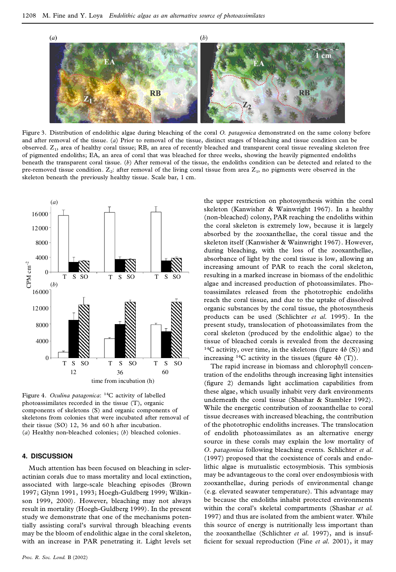

Figure 3. Distribution of endolithic algae during bleaching of the coral *O. patagonica* demonstrated on the same colony before and after removal of the tissue. (*a*) Prior to removal of the tissue, distinct stages of bleaching and tissue condition can be observed. Z<sub>1</sub>, area of healthy coral tissue; RB, an area of recently bleached and transparent coral tissue revealing skeleton free of pigmented endoliths; EA, an area of coral that was bleached for three weeks, showing the heavily pigmented endoliths beneath the transparent coral tissue. (*b*) After removal of the tissue, the endoliths condition can be detected and related to the pre-removed tissue condition.  $Z_2$ : after removal of the living coral tissue from area  $Z_1$ , no pigments were observed in the skeleton beneath the previously healthy tissue. Scale bar, 1 cm.



Figure 4. *Oculina patagonica*: <sup>14</sup>C activity of labelled photoassimilates recorded in the tissue (T), organic components of skeletons (S) and organic components of skeletons from colonies that were incubated after removal of their tissue (SO) 12, 36 and 60 h after incubation. (*a*) Healthy non-bleached colonies; (*b*) bleached colonies.

### **4. DISCUSSION**

Much attention has been focused on bleaching in scler actinian corals due to mass mortality and local extinction, associated with large-scale bleaching episodes (Brown 1997; Glynn 1991, 1993; Hoegh-Guldberg 1999; Wilkin son 1999, 2000). However, bleaching may not always result in mortality (Hoegh-Guldberg 1999). In the present study we demonstrate that one of the mechanisms potentially assisting coral's survival through bleaching events may be the bloom of endolithic algae in the coral skeleton, with an increase in PAR penetrating it. Light levels set

the upper restriction on photosynthesis within the coral skeleton (Kanwisher & Wainwright 1967). In a healthy (non-bleached) colony, PAR reaching the endoliths within the coral skeleton is extremely low, because it is largely absorbed by the zooxanthellae, the coral tissue and the skeleton itself (Kanwisher & Wainwright 1967). However, during bleaching, with the loss of the zooxanthellae, absorbance of light by the coral tissue is low, allowing an increasing amount of PAR to reach the coral skeleton, resulting in a marked increase in biomass of the endolithic algae and increased production of photoassimilates. Photoassimilates released from the phototrophic endoliths reach the coral tissue, and due to the uptake of dissolved organic substances by the coral tissue, the photosynthesis products can be used (Schlichter *et al.* 1995). In the present study, translocation of photoassimilates from the coral skeleton (produced by the endolithic algae) to the tissue of bleached corals is revealed from the decreasing  $14C$  activity, over time, in the skeletons (figure  $4b$  (S)) and increasing <sup>14</sup>C activity in the tissues (figure 4*b* (T)).

The rapid increase in biomass and chlorophyll concentration of the endoliths through increasing light intensities  $(figure 2)$  demands light acclimation capabilities from these algae, which usually inhabit very dark environments underneath the coral tissue (Shashar & Stambler 1992). While the energetic contribution of zooxanthellae to coral tissue decreases with increased bleaching, the contribution of the phototrophic endoliths increases. The translocation of endolith photoassimilates as an alternative energy source in these corals may explain the low mortality of *O. patagonica* following bleaching events. Schlichter *et al.* (1997) proposed that the coexistence of corals and endolithic algae is mutualistic ectosymbiosis. This symbiosis may be advantageous to the coral over endosymbiosis with zooxanthellae, during periods of environmental change (e.g. elevated seawater temperature). This advantage may be because the endoliths inhabit protected environments within the coral's skeletal compartments (Shashar *et al.* 1997) and thus are isolated from the ambient water. While this source of energy is nutritionally less important than the zooxanthellae (Schlichter *et al.* 1997), and is insuf ficient for sexual reproduction (Fine *et al.* 2001), it may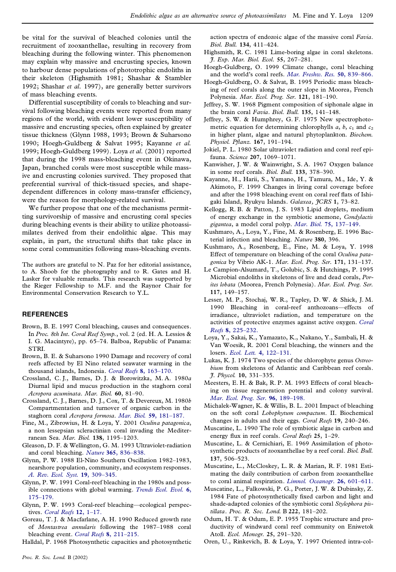be vital for the survival of bleached colonies until the recruitment of zooxanthellae, resulting in recovery from bleaching during the following winter. This phenomenon may explain why massive and encrusting species, known to harbour dense populations of phototrophic endoliths in their skeleton (Highsmith 1981; Shashar & Stambler 1992; Shashar *et al.* 1997), are generally better survivors of mass bleaching events.

Differential susceptibility of corals to bleaching and sur vival following bleaching events were reported from many regions of the world, with evident lower susceptibility of massive and encrusting species, often explained by greater tissue thickness (Glynn 1988, 1993; Brown & Suharsono 1990; Hoegh-Guldberg & Salvat 1995; Kayanne *et al.* 1999; Hoegh-Guldberg 1999). Loya *et al.* (2001) reported that during the 1998 mass-bleaching event in Okinawa, Japan, branched corals were most susceptible while massive and encrusting colonies survived. They proposed that preferential survival of thick-tissued species, and shape dependent differences in colony mass-transfer efficiency, were the reason for morphology-related survival.

We further propose that one of the mechanisms permitting survivorship of massive and encrusting coral species during bleaching events is their ability to utilize photoassi milates derived from their endolithic algae. This may explain, in part, the structural shifts that take place in some coral communities following mass-bleaching events.

The authors are grateful to N. Paz for her editorial assistance, to A. Shoob for the photography and to R. Gates and H. Lasker for valuable remarks. This research was supported by the Rieger Fellowship to M.F. and the Raynor Chair for Environmental Conservation Research to Y.L.

### **REFERENCES**

- Brown, B. E. 1997 Coral bleaching, causes and consequences. In *Proc. 8th Int. Coral Reef Symp.*, vol. 2 (ed. H. A. Lessios & I. G. Macintyre), pp. 65–74. Balboa, Republic of Panama: STRI.
- Brown, B. E. & Suharsono 1990 Damage and recovery of coral reefs affected by El Nino related seawater warming in the thousand islands, Indonesia. *Coral Reefs* **8**, [163–170.](http://antonio.catchword.com/nw=1/rpsv/cgi-bin/linker?ext=a&reqidx=/0722-4028^28^298L.163[aid=629241])
- Crossland, C. J., Barnes, D. J. & Borowitzka, M. A. 1980*a* Diurnal lipid and mucus production in the staghorn coral *Acropora acuminata*. *Mar. Biol.* **60**, 81–90.
- Crossland, C. J., Barnes, D. J., Cox, T. & Devereux, M. 1980*b* Compartmentation and turnover of organic carbon in the staghorn coral *Acropora formosa*. *Mar. Biol.* **59**, [181–187.](http://antonio.catchword.com/nw=1/rpsv/cgi-bin/linker?ext=a&reqidx=/0025-3162^28^2959L.181[aid=2643932])
- Fine, M., Zibrowius, H. & Loya, Y. 2001 *Oculina patagonica*, a non lessepsian scleractinian coral invading the Mediterranean Sea. *Mar. Biol.* **138**, 1195–1203.
- Gleason, D. F. & Wellington, G. M. 1993 Ultraviolet-radiation and coral bleaching. *Nature* **365**, [836–838.](http://antonio.catchword.com/nw=1/rpsv/cgi-bin/linker?ext=a&reqidx=/0028-0836^28^29365L.836[aid=629258])
- Glynn, P. W. 1988 El-Nino Southern Oscillation 1982–1983, nearshore population, community, and ecosystem responses. *A. Rev. Ecol. Syst.* **19**, [309–345.](http://antonio.catchword.com/nw=1/rpsv/cgi-bin/linker?ext=a&reqidx=/0066-4162^28^2919L.309[aid=2643934])
- Glynn, P. W. 1991 Coral-reef bleaching in the 1980s and possible connections with global warming. *[Trends](http://antonio.catchword.com/nw=1/rpsv/cgi-bin/linker?ext=a&reqidx=/0169-5347^28^296L.175[aid=629261]) Ecol. Evol.* **6**, [175–179.](http://antonio.catchword.com/nw=1/rpsv/cgi-bin/linker?ext=a&reqidx=/0169-5347^28^296L.175[aid=629261])
- Glynn, P. W. 1993 Coral-reef bleaching—ecological perspectives. *Coral Reefs* **12**, [1–17.](http://antonio.catchword.com/nw=1/rpsv/cgi-bin/linker?ext=a&reqidx=/0722-4028^28^2912L.1[aid=629262])
- Goreau, T. J. & Macfarlane, A. H. 1990 Reduced growth rate of *Montastrea annularis* following the 1987–1988 coral bleaching event. *Coral Reefs* **8**, [211–215.](http://antonio.catchword.com/nw=1/rpsv/cgi-bin/linker?ext=a&reqidx=/0722-4028^28^298L.211[aid=629269])

Halldal, P. 1968 Photosynthetic capacities and photosynthetic

action spectra of endozoic algae of the massive coral *Favia*. *Biol. Bull.* **134**, 411–424.

- Highsmith, R. C. 1981 Lime-boring algae in coral skeletons. *J. Exp. Mar. Biol. Ecol.* **55**, 267–281.
- Hoegh-Guldberg, O. 1999 Climate change, coral bleaching and the world's coral reefs. *Mar. Freshw. Res.* **50**, [839–866.](http://antonio.catchword.com/nw=1/rpsv/cgi-bin/linker?ext=a&reqidx=/1323-1650^28^2950L.839[aid=2643937])
- Hoegh-Guldberg, O. & Salvat, B. 1995 Periodic mass bleaching of reef corals along the outer slope in Moorea, French Polynesia. *Mar. Ecol. Prog. Ser.* **121**, 181–190.
- Jeffrey, S. W. 1968 Pigment composition of siphonale algae in the brain coral *Favia*. *Biol. Bull.* **135**, 141–148.
- Jeffrey, S. W. & Humphrey, G. F. 1975 New spectrophoto metric equation for determining chlorophylls  $a, b, c<sub>1</sub>$  and  $c<sub>2</sub>$ in higher plant, algae and natural phytoplankton. *Biochem. Physiol. P anz.* **167**, 191–194.
- Jokiel, P. L. 1980 Solar ultraviolet radiation and coral reef epifauna. *Science* **207**, 1069–1071.
- Kanwisher, J. W. & Wainwright, S. A. 1967 Oxygen balance in some reef corals. *Biol. Bull.* **133**, 378–390.
- Kayanne, H., Harii, S., Yamano, H., Tamura, M., Ide, Y. & Akimoto, F. 1999 Changes in living coral coverage before and after the 1998 bleaching event on coral reef flats of Ishigaki Island, Ryukyu Islands. *Galaxea, JCRS* **1**, 73–82.
- Kellogg, R. B. & Patton, J. S. 1983 Lipid droplets, medium of energy exchange in the symbiotic anemone, *Condylactis gigantea*, a model coral polyp. *Mar. Biol.* **75**, [137–149.](http://antonio.catchword.com/nw=1/rpsv/cgi-bin/linker?ext=a&reqidx=/0025-3162^28^2975L.137[aid=2643941])
- Kushmaro, A., Loya, Y., Fine, M. & Rosenberg, E. 1996 Bacterial infection and bleaching. *Nature* **380**, 396.
- Kushmaro, A., Rosenberg, E., Fine, M. & Loya, Y. 1998 Effect of temperature on bleaching of the coral *Oculina pata gonica* by Vibrio AK-1. *Mar. Ecol. Prog. Ser.* **171**, 131–137.
- Le Campion-Alsumard, T., Golubic, S. & Hutchings, P. 1995 Microbial endoliths in skeletons of live and dead corals, *Porites lobata* (Moorea, French Polynesia). *Mar. Ecol. Prog. Ser.* **117**, 149–157.
- Lesser, M. P., Stochaj, W. R., Tapley, D. W. & Shick, J. M. 1990 Bleaching in coral-reef anthozoans—effects of irradiance, ultraviolet radiation, and temperature on the activities of protective enzymes against active oxygen. *[Coral](http://antonio.catchword.com/nw=1/rpsv/cgi-bin/linker?ext=a&reqidx=/0722-4028^28^298L.225[aid=2643945]) Reefs* **8**, [225–232.](http://antonio.catchword.com/nw=1/rpsv/cgi-bin/linker?ext=a&reqidx=/0722-4028^28^298L.225[aid=2643945])
- Loya, Y., Sakai, K., Yamazato, K., Nakano, Y., Sambali, H. & Van Woesik, R. 2001 Coral bleaching, the winners and the losers. *Ecol. Lett.* **4**, [122–131.](http://antonio.catchword.com/nw=1/rpsv/cgi-bin/linker?ext=a&reqidx=/1461-023X^28^294L.122[aid=2643946])
- Lukas, K. J. 1974 Two species of the chlorophyte genus *Ostreobium* from skeletons of Atlantic and Caribbean reef corals. *J. Phycol.* **10**, 331–335.
- Meesters, E. H. & Bak, R. P. M. 1993 Effects of coral bleaching on tissue regeneration potential and colony survival. *Mar. Ecol. Prog. Ser.* **96**, [189–198.](http://antonio.catchword.com/nw=1/rpsv/cgi-bin/linker?ext=a&reqidx=/0171-8630^28^2996L.189[aid=2643948])
- Michalek-Wagner, K. & Willis, B. L. 2001 Impact of bleaching on the soft coral *Lobophytum compactum*. II. Biochemical changes in adults and their eggs. *Coral Reefs* **19**, 240–246.
- Muscatine, L. 1990 The role of symbiotic algae in carbon and energy flux in reef corals. *Coral Reefs* 25, 1–29.
- Muscatine, L. & Cernichiari, E. 1969 Assimilation of photo synthetic products of zooxanthellae by a reef coral. *Biol. Bull.* **137**, 506–523.
- Muscatine, L., McCloskey, L. R. & Marian, R. F. 1981 Esti mating the daily contribution of carbon from zooxanthellae to coral animal respiration. *Limnol. [Oceanogr.](http://antonio.catchword.com/nw=1/rpsv/cgi-bin/linker?ext=a&reqidx=/0024-3590^28^2926L.601[aid=629300])* **26**, 601–611.
- Muscatine, L., Falkowski, P. G., Porter, J. W. & Dubinsky, Z. 1984 Fate of photosynthetically fixed carbon and light and shade-adapted colonies of the symbiotic coral *Stylophora pistillata*. *Proc. R. Soc. Lond.* B **222**, 181–202.
- Odum, H. T. & Odum, E. P. 1955 Trophic structure and pro ductivity of windward coral reef community on Eniwetok Atoll. *Ecol. Monogr.* **25**, 291–320.
- Oren, U., Rinkevich, B. & Loya, Y. 1997 Oriented intra-col-